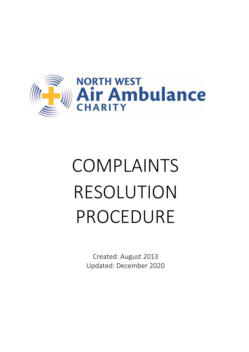

# COMPLAINTS RESOLUTION PROCEDURE

Created: August 2013 Updated: December 2020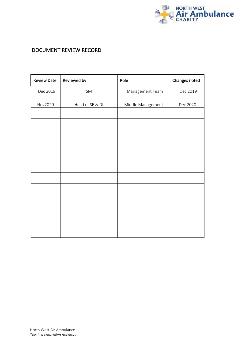

## DOCUMENT REVIEW RECORD

| <b>Review Date</b> | Reviewed by     | Role              | Changes noted |  |
|--------------------|-----------------|-------------------|---------------|--|
| Dec 2019           | SMT             | Management Team   | Dec 2019      |  |
| Nov2020            | Head of SE & DI | Middle Management | Dec 2020      |  |
|                    |                 |                   |               |  |
|                    |                 |                   |               |  |
|                    |                 |                   |               |  |
|                    |                 |                   |               |  |
|                    |                 |                   |               |  |
|                    |                 |                   |               |  |
|                    |                 |                   |               |  |
|                    |                 |                   |               |  |
|                    |                 |                   |               |  |
|                    |                 |                   |               |  |
|                    |                 |                   |               |  |
|                    |                 |                   |               |  |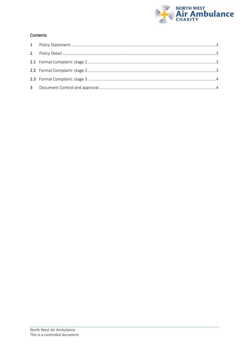

#### Contents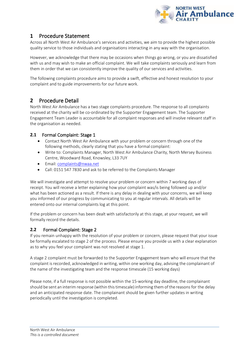

## <span id="page-3-0"></span>**1** Procedure Statement

Across all North West Air Ambulance's services and activities, we aim to provide the highest possible quality service to those individuals and organisations interacting in any way with the organisation.

However, we acknowledge that there may be occasions when things go wrong, or you are dissatisfied with us and may wish to make an official complaint. We will take complaints seriously and learn from them in order that we can consistently improve the quality of our services and activities.

The following complaints procedure aims to provide a swift, effective and honest resolution to your complaint and to guide improvements for our future work.

## <span id="page-3-1"></span>**2** Procedure Detail

North West Air Ambulance has a two stage complaints procedure. The response to all complaints received at the charity will be co-ordinated by the Supporter Engagement team. The Supporter Engagement Team Leader is accountable for all complaint responses and will involve relevant staff in the organisation as needed.

## <span id="page-3-2"></span>**2.1** Formal Complaint: Stage 1

- Contact North West Air Ambulance with your problem or concern through one of the following methods, clearly stating that you have a formal complaint:
- Write to: Complaints Manager, North West Air Ambulance Charity, North Mersey Business Centre, Woodward Road, Knowsley, L33 7UY
- Email: [complaints@nwaa.net](mailto:complaints@nwaa.net)
- Call: 0151 547 7830 and ask to be referred to the Complaints Manager

We will investigate and attempt to resolve your problem or concern within 7 working days of receipt. You will receive a letter explaining how your complaint was/is being followed up and/or what has been actioned as a result. If there is any delay in dealing with your concerns, we will keep you informed of our progress by communicating to you at regular intervals. All details will be entered onto our internal complaints log at this point.

If the problem or concern has been dealt with satisfactorily at this stage, at your request, we will formally record the details.

## <span id="page-3-3"></span>**2.2** Formal Complaint: Stage 2

If you remain unhappy with the resolution of your problem or concern, please request that your issue be formally escalated to stage 2 of the process. Please ensure you provide us with a clear explanation as to why you feel your complaint was not resolved at stage 1.

A stage 2 complaint must be forwarded to the Supporter Engagement team who will ensure that the complaint isrecorded, acknowledged in writing, within one working day, advising the complainant of the name of the investigating team and the response timescale (15 working days)

Please note, if a full response is not possible within the 15-working day deadline, the complainant should be sent an interim response (within thistimescale) informing them ofthe reasons for the delay and an anticipated response date. The complainant should be given further updates in writing periodically until the investigation is completed.